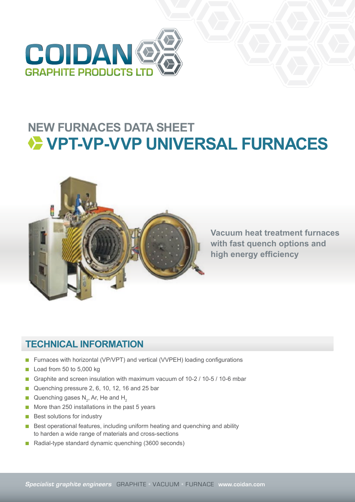

## **NEW FURNACES DATA SHEET VPT-VP-VVP UNIVERSAL FURNACES**



**Vacuum heat treatment furnaces with fast quench options and high energy efficiency**

## **TECHNICAL INFORMATION**

- Furnaces with horizontal (VP/VPT) and vertical (VVPEH) loading configurations
- Load from 50 to 5,000 kg
- Graphite and screen insulation with maximum vacuum of 10-2 / 10-5 / 10-6 mbar
- Quenching pressure 2, 6, 10, 12, 16 and 25 bar
- Quenching gases  $N_{2}$ , Ar, He and H<sub>2</sub>
- More than 250 installations in the past 5 years
- Best solutions for industry
- Best operational features, including uniform heating and quenching and ability to harden a wide range of materials and cross-sections
- Radial-type standard dynamic quenching (3600 seconds)